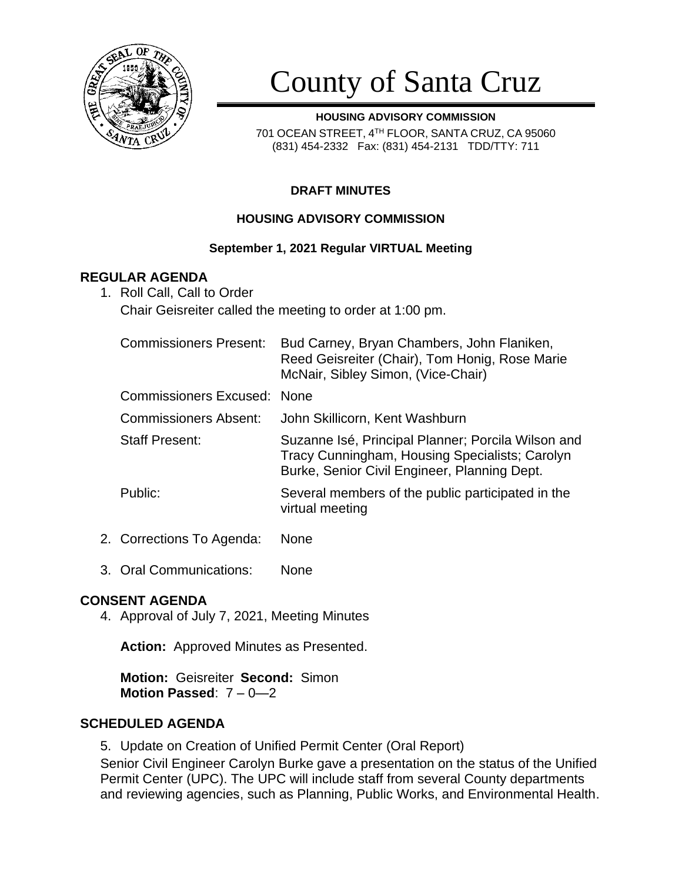

# County of Santa Cruz

**HOUSING ADVISORY COMMISSION** 701 OCEAN STREET, 4 TH FLOOR, SANTA CRUZ, CA 95060 (831) 454-2332 Fax: (831) 454-2131 TDD/TTY: 711

# **DRAFT MINUTES**

## **HOUSING ADVISORY COMMISSION**

## **September 1, 2021 Regular VIRTUAL Meeting**

## **REGULAR AGENDA**

1. Roll Call, Call to Order

Chair Geisreiter called the meeting to order at 1:00 pm.

| <b>Commissioners Present:</b> | Bud Carney, Bryan Chambers, John Flaniken,<br>Reed Geisreiter (Chair), Tom Honig, Rose Marie<br>McNair, Sibley Simon, (Vice-Chair)                   |
|-------------------------------|------------------------------------------------------------------------------------------------------------------------------------------------------|
| Commissioners Excused: None   |                                                                                                                                                      |
| <b>Commissioners Absent:</b>  | John Skillicorn, Kent Washburn                                                                                                                       |
| <b>Staff Present:</b>         | Suzanne Isé, Principal Planner; Porcila Wilson and<br>Tracy Cunningham, Housing Specialists; Carolyn<br>Burke, Senior Civil Engineer, Planning Dept. |
| Public:                       | Several members of the public participated in the<br>virtual meeting                                                                                 |
|                               |                                                                                                                                                      |

- 2. Corrections To Agenda: None
- 3. Oral Communications: None

# **CONSENT AGENDA**

4. Approval of July 7, 2021, Meeting Minutes

**Action:** Approved Minutes as Presented.

**Motion:** Geisreiter **Second:** Simon **Motion Passed**: 7 – 0—2

# **SCHEDULED AGENDA**

5. Update on Creation of Unified Permit Center (Oral Report)

Senior Civil Engineer Carolyn Burke gave a presentation on the status of the Unified Permit Center (UPC). The UPC will include staff from several County departments and reviewing agencies, such as Planning, Public Works, and Environmental Health.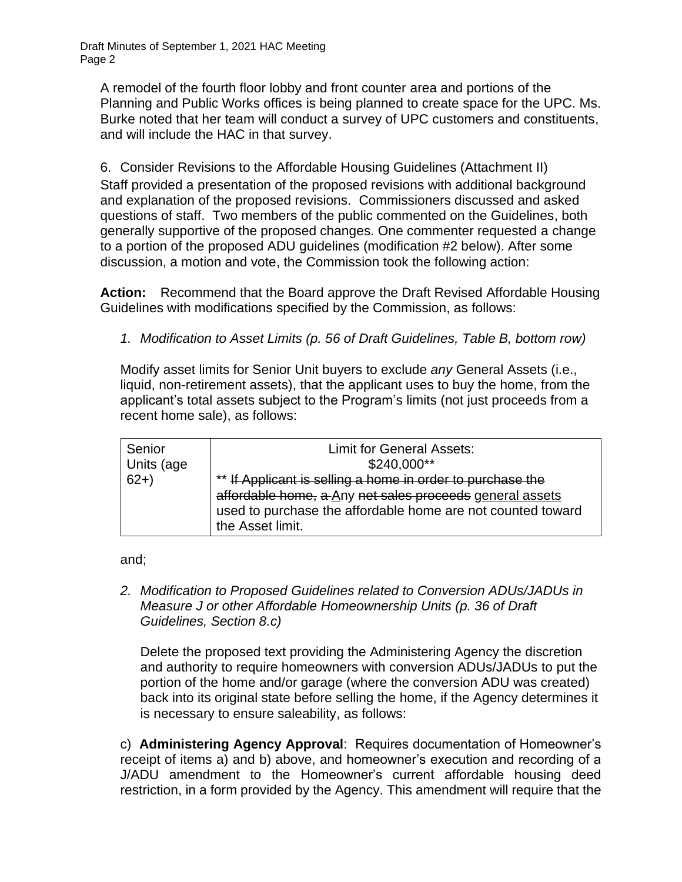Draft Minutes of September 1, 2021 HAC Meeting Page 2

A remodel of the fourth floor lobby and front counter area and portions of the Planning and Public Works offices is being planned to create space for the UPC. Ms. Burke noted that her team will conduct a survey of UPC customers and constituents, and will include the HAC in that survey.

6. Consider Revisions to the Affordable Housing Guidelines (Attachment II) Staff provided a presentation of the proposed revisions with additional background and explanation of the proposed revisions. Commissioners discussed and asked questions of staff. Two members of the public commented on the Guidelines, both generally supportive of the proposed changes. One commenter requested a change to a portion of the proposed ADU guidelines (modification #2 below). After some discussion, a motion and vote, the Commission took the following action:

**Action:** Recommend that the Board approve the Draft Revised Affordable Housing Guidelines with modifications specified by the Commission, as follows:

*1. Modification to Asset Limits (p. 56 of Draft Guidelines, Table B, bottom row)*

Modify asset limits for Senior Unit buyers to exclude *any* General Assets (i.e., liquid, non-retirement assets), that the applicant uses to buy the home, from the applicant's total assets subject to the Program's limits (not just proceeds from a recent home sale), as follows:

| Senior     | <b>Limit for General Assets:</b>                                                                                                                                                                          |
|------------|-----------------------------------------------------------------------------------------------------------------------------------------------------------------------------------------------------------|
| Units (age | \$240,000**                                                                                                                                                                                               |
| $ 62+$     | ** If Applicant is selling a home in order to purchase the<br>affordable home, a Any net sales proceeds general assets<br>used to purchase the affordable home are not counted toward<br>the Asset limit. |

and;

*2. Modification to Proposed Guidelines related to Conversion ADUs/JADUs in Measure J or other Affordable Homeownership Units (p. 36 of Draft Guidelines, Section 8.c)*

Delete the proposed text providing the Administering Agency the discretion and authority to require homeowners with conversion ADUs/JADUs to put the portion of the home and/or garage (where the conversion ADU was created) back into its original state before selling the home, if the Agency determines it is necessary to ensure saleability, as follows:

c) **Administering Agency Approval**: Requires documentation of Homeowner's receipt of items a) and b) above, and homeowner's execution and recording of a J/ADU amendment to the Homeowner's current affordable housing deed restriction, in a form provided by the Agency. This amendment will require that the